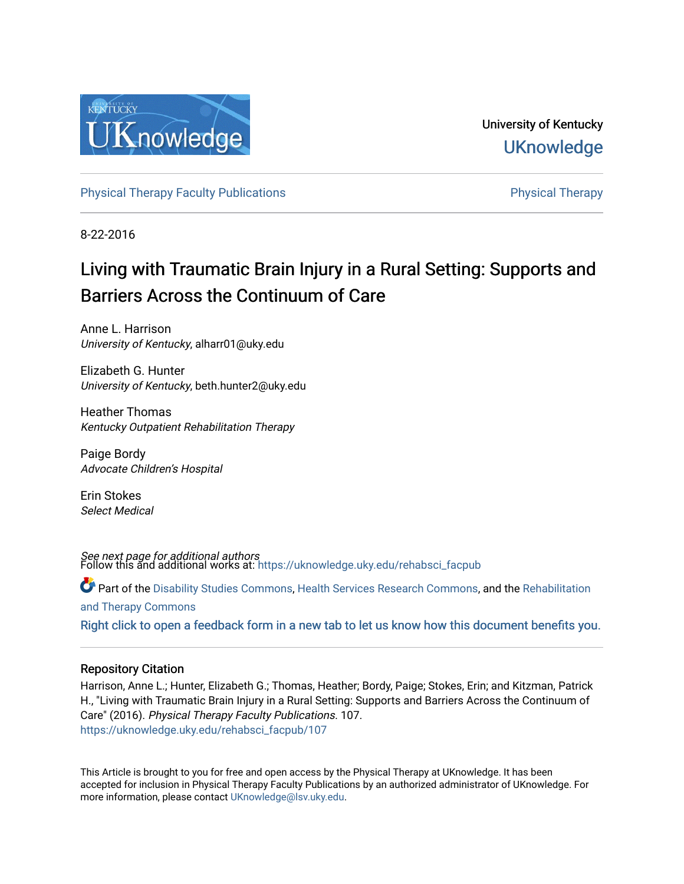

University of Kentucky **UKnowledge** 

[Physical Therapy Faculty Publications](https://uknowledge.uky.edu/rehabsci_facpub) **Physical Therapy** Physical Therapy

8-22-2016

## Living with Traumatic Brain Injury in a Rural Setting: Supports and Barriers Across the Continuum of Care

Anne L. Harrison University of Kentucky, alharr01@uky.edu

Elizabeth G. Hunter University of Kentucky, beth.hunter2@uky.edu

Heather Thomas Kentucky Outpatient Rehabilitation Therapy

Paige Bordy Advocate Children's Hospital

Erin Stokes Select Medical

*See next page for additional authors*<br>Follow this and additional works at: https://uknowledge.uky.edu/rehabsci\_facpub

Part of the [Disability Studies Commons](http://network.bepress.com/hgg/discipline/1417?utm_source=uknowledge.uky.edu%2Frehabsci_facpub%2F107&utm_medium=PDF&utm_campaign=PDFCoverPages), [Health Services Research Commons](http://network.bepress.com/hgg/discipline/816?utm_source=uknowledge.uky.edu%2Frehabsci_facpub%2F107&utm_medium=PDF&utm_campaign=PDFCoverPages), and the [Rehabilitation](http://network.bepress.com/hgg/discipline/749?utm_source=uknowledge.uky.edu%2Frehabsci_facpub%2F107&utm_medium=PDF&utm_campaign=PDFCoverPages) 

[and Therapy Commons](http://network.bepress.com/hgg/discipline/749?utm_source=uknowledge.uky.edu%2Frehabsci_facpub%2F107&utm_medium=PDF&utm_campaign=PDFCoverPages)

[Right click to open a feedback form in a new tab to let us know how this document benefits you.](https://uky.az1.qualtrics.com/jfe/form/SV_9mq8fx2GnONRfz7)

## Repository Citation

Harrison, Anne L.; Hunter, Elizabeth G.; Thomas, Heather; Bordy, Paige; Stokes, Erin; and Kitzman, Patrick H., "Living with Traumatic Brain Injury in a Rural Setting: Supports and Barriers Across the Continuum of Care" (2016). Physical Therapy Faculty Publications. 107. [https://uknowledge.uky.edu/rehabsci\\_facpub/107](https://uknowledge.uky.edu/rehabsci_facpub/107?utm_source=uknowledge.uky.edu%2Frehabsci_facpub%2F107&utm_medium=PDF&utm_campaign=PDFCoverPages) 

This Article is brought to you for free and open access by the Physical Therapy at UKnowledge. It has been accepted for inclusion in Physical Therapy Faculty Publications by an authorized administrator of UKnowledge. For more information, please contact [UKnowledge@lsv.uky.edu](mailto:UKnowledge@lsv.uky.edu).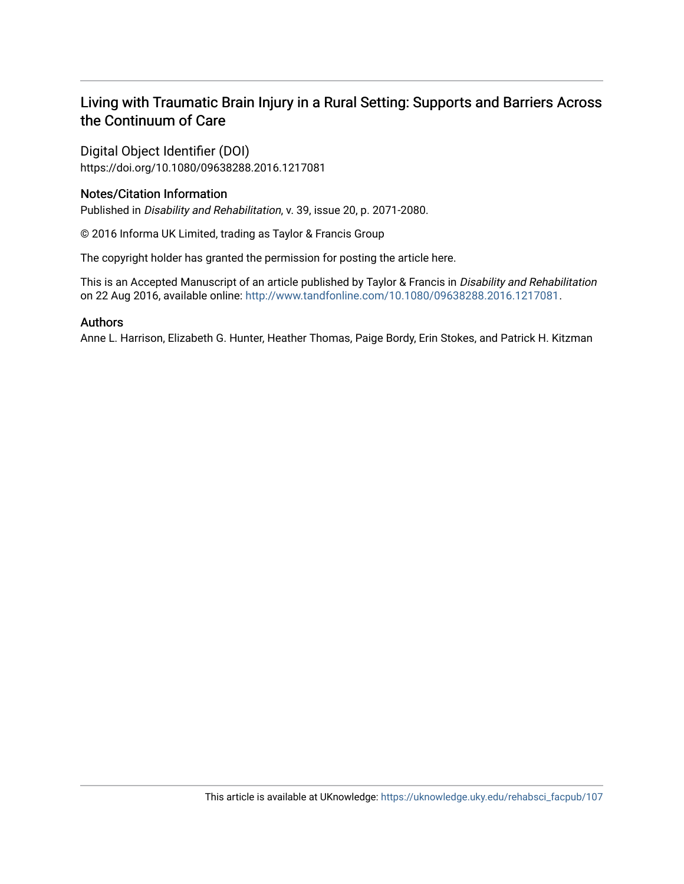## Living with Traumatic Brain Injury in a Rural Setting: Supports and Barriers Across the Continuum of Care

Digital Object Identifier (DOI) https://doi.org/10.1080/09638288.2016.1217081

## Notes/Citation Information

Published in Disability and Rehabilitation, v. 39, issue 20, p. 2071-2080.

© 2016 Informa UK Limited, trading as Taylor & Francis Group

The copyright holder has granted the permission for posting the article here.

This is an Accepted Manuscript of an article published by Taylor & Francis in Disability and Rehabilitation on 22 Aug 2016, available online: [http://www.tandfonline.com/10.1080/09638288.2016.1217081.](http://www.tandfonline.com/10.1080/09638288.2016.1217081)

## Authors

Anne L. Harrison, Elizabeth G. Hunter, Heather Thomas, Paige Bordy, Erin Stokes, and Patrick H. Kitzman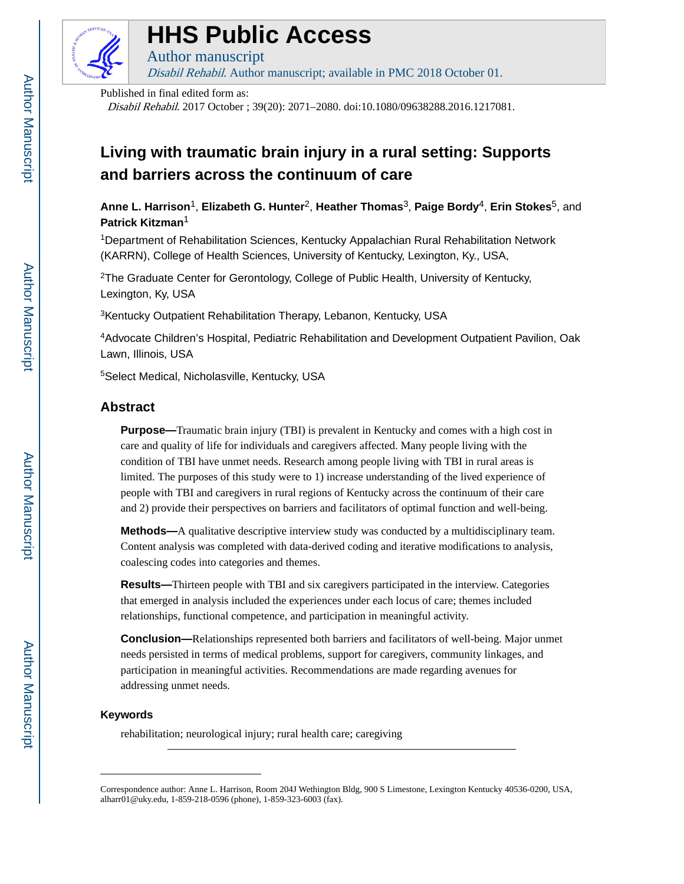

# **HHS Public Access**

Author manuscript Disabil Rehabil. Author manuscript; available in PMC 2018 October 01.

Published in final edited form as:

Disabil Rehabil. 2017 October ; 39(20): 2071–2080. doi:10.1080/09638288.2016.1217081.

## **Living with traumatic brain injury in a rural setting: Supports and barriers across the continuum of care**

**Anne L. Harrison**1, **Elizabeth G. Hunter**2, **Heather Thomas**3, **Paige Bordy**4, **Erin Stokes**5, and **Patrick Kitzman**<sup>1</sup>

<sup>1</sup>Department of Rehabilitation Sciences, Kentucky Appalachian Rural Rehabilitation Network (KARRN), College of Health Sciences, University of Kentucky, Lexington, Ky., USA,

 $2$ The Graduate Center for Gerontology, College of Public Health, University of Kentucky, Lexington, Ky, USA

<sup>3</sup>Kentucky Outpatient Rehabilitation Therapy, Lebanon, Kentucky, USA

<sup>4</sup>Advocate Children's Hospital, Pediatric Rehabilitation and Development Outpatient Pavilion, Oak Lawn, Illinois, USA

<sup>5</sup>Select Medical, Nicholasville, Kentucky, USA

## **Abstract**

**Purpose—**Traumatic brain injury (TBI) is prevalent in Kentucky and comes with a high cost in care and quality of life for individuals and caregivers affected. Many people living with the condition of TBI have unmet needs. Research among people living with TBI in rural areas is limited. The purposes of this study were to 1) increase understanding of the lived experience of people with TBI and caregivers in rural regions of Kentucky across the continuum of their care and 2) provide their perspectives on barriers and facilitators of optimal function and well-being.

**Methods—**A qualitative descriptive interview study was conducted by a multidisciplinary team. Content analysis was completed with data-derived coding and iterative modifications to analysis, coalescing codes into categories and themes.

**Results—**Thirteen people with TBI and six caregivers participated in the interview. Categories that emerged in analysis included the experiences under each locus of care; themes included relationships, functional competence, and participation in meaningful activity.

**Conclusion—**Relationships represented both barriers and facilitators of well-being. Major unmet needs persisted in terms of medical problems, support for caregivers, community linkages, and participation in meaningful activities. Recommendations are made regarding avenues for addressing unmet needs.

## **Keywords**

rehabilitation; neurological injury; rural health care; caregiving

Correspondence author: Anne L. Harrison, Room 204J Wethington Bldg, 900 S Limestone, Lexington Kentucky 40536-0200, USA, alharr01@uky.edu, 1-859-218-0596 (phone), 1-859-323-6003 (fax).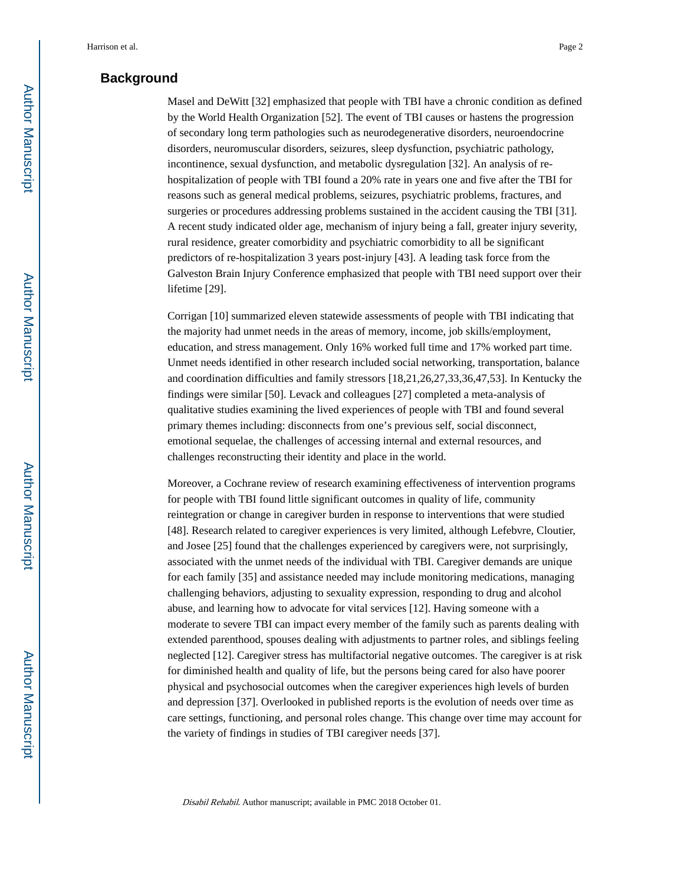## **Background**

Masel and DeWitt [32] emphasized that people with TBI have a chronic condition as defined by the World Health Organization [52]. The event of TBI causes or hastens the progression of secondary long term pathologies such as neurodegenerative disorders, neuroendocrine disorders, neuromuscular disorders, seizures, sleep dysfunction, psychiatric pathology, incontinence, sexual dysfunction, and metabolic dysregulation [32]. An analysis of rehospitalization of people with TBI found a 20% rate in years one and five after the TBI for reasons such as general medical problems, seizures, psychiatric problems, fractures, and surgeries or procedures addressing problems sustained in the accident causing the TBI [31]. A recent study indicated older age, mechanism of injury being a fall, greater injury severity, rural residence, greater comorbidity and psychiatric comorbidity to all be significant predictors of re-hospitalization 3 years post-injury [43]. A leading task force from the Galveston Brain Injury Conference emphasized that people with TBI need support over their lifetime [29].

Corrigan [10] summarized eleven statewide assessments of people with TBI indicating that the majority had unmet needs in the areas of memory, income, job skills/employment, education, and stress management. Only 16% worked full time and 17% worked part time. Unmet needs identified in other research included social networking, transportation, balance and coordination difficulties and family stressors [18,21,26,27,33,36,47,53]. In Kentucky the findings were similar [50]. Levack and colleagues [27] completed a meta-analysis of qualitative studies examining the lived experiences of people with TBI and found several primary themes including: disconnects from one's previous self, social disconnect, emotional sequelae, the challenges of accessing internal and external resources, and challenges reconstructing their identity and place in the world.

Moreover, a Cochrane review of research examining effectiveness of intervention programs for people with TBI found little significant outcomes in quality of life, community reintegration or change in caregiver burden in response to interventions that were studied [48]. Research related to caregiver experiences is very limited, although Lefebvre, Cloutier, and Josee [25] found that the challenges experienced by caregivers were, not surprisingly, associated with the unmet needs of the individual with TBI. Caregiver demands are unique for each family [35] and assistance needed may include monitoring medications, managing challenging behaviors, adjusting to sexuality expression, responding to drug and alcohol abuse, and learning how to advocate for vital services [12]. Having someone with a moderate to severe TBI can impact every member of the family such as parents dealing with extended parenthood, spouses dealing with adjustments to partner roles, and siblings feeling neglected [12]. Caregiver stress has multifactorial negative outcomes. The caregiver is at risk for diminished health and quality of life, but the persons being cared for also have poorer physical and psychosocial outcomes when the caregiver experiences high levels of burden and depression [37]. Overlooked in published reports is the evolution of needs over time as care settings, functioning, and personal roles change. This change over time may account for the variety of findings in studies of TBI caregiver needs [37].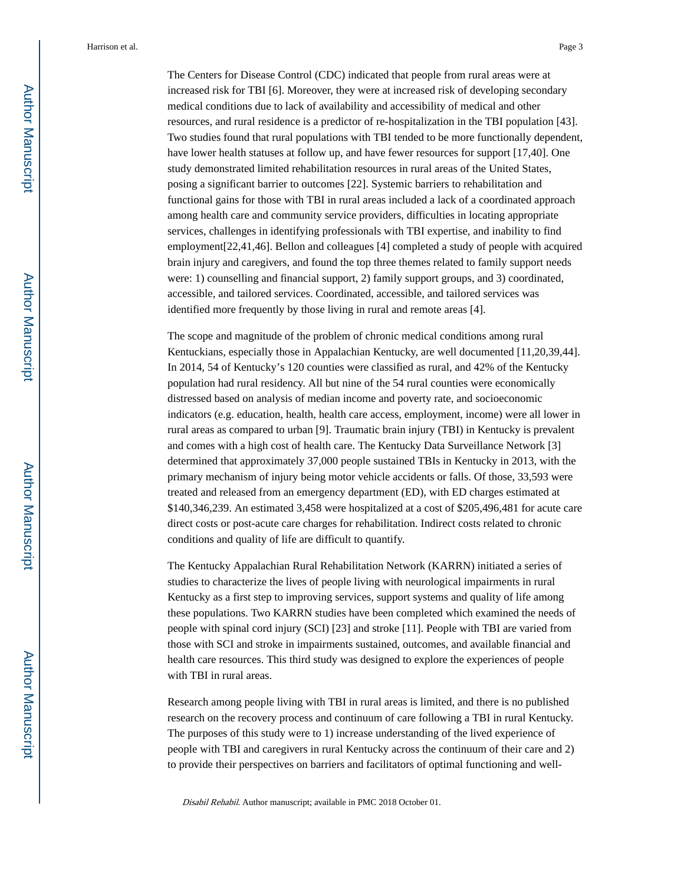The Centers for Disease Control (CDC) indicated that people from rural areas were at increased risk for TBI [6]. Moreover, they were at increased risk of developing secondary medical conditions due to lack of availability and accessibility of medical and other resources, and rural residence is a predictor of re-hospitalization in the TBI population [43]. Two studies found that rural populations with TBI tended to be more functionally dependent, have lower health statuses at follow up, and have fewer resources for support [17,40]. One study demonstrated limited rehabilitation resources in rural areas of the United States, posing a significant barrier to outcomes [22]. Systemic barriers to rehabilitation and functional gains for those with TBI in rural areas included a lack of a coordinated approach among health care and community service providers, difficulties in locating appropriate services, challenges in identifying professionals with TBI expertise, and inability to find employment[22,41,46]. Bellon and colleagues [4] completed a study of people with acquired brain injury and caregivers, and found the top three themes related to family support needs were: 1) counselling and financial support, 2) family support groups, and 3) coordinated, accessible, and tailored services. Coordinated, accessible, and tailored services was identified more frequently by those living in rural and remote areas [4].

The scope and magnitude of the problem of chronic medical conditions among rural Kentuckians, especially those in Appalachian Kentucky, are well documented [11,20,39,44]. In 2014, 54 of Kentucky's 120 counties were classified as rural, and 42% of the Kentucky population had rural residency. All but nine of the 54 rural counties were economically distressed based on analysis of median income and poverty rate, and socioeconomic indicators (e.g. education, health, health care access, employment, income) were all lower in rural areas as compared to urban [9]. Traumatic brain injury (TBI) in Kentucky is prevalent and comes with a high cost of health care. The Kentucky Data Surveillance Network [3] determined that approximately 37,000 people sustained TBIs in Kentucky in 2013, with the primary mechanism of injury being motor vehicle accidents or falls. Of those, 33,593 were treated and released from an emergency department (ED), with ED charges estimated at \$140,346,239. An estimated 3,458 were hospitalized at a cost of \$205,496,481 for acute care direct costs or post-acute care charges for rehabilitation. Indirect costs related to chronic conditions and quality of life are difficult to quantify.

The Kentucky Appalachian Rural Rehabilitation Network (KARRN) initiated a series of studies to characterize the lives of people living with neurological impairments in rural Kentucky as a first step to improving services, support systems and quality of life among these populations. Two KARRN studies have been completed which examined the needs of people with spinal cord injury (SCI) [23] and stroke [11]. People with TBI are varied from those with SCI and stroke in impairments sustained, outcomes, and available financial and health care resources. This third study was designed to explore the experiences of people with TBI in rural areas.

Research among people living with TBI in rural areas is limited, and there is no published research on the recovery process and continuum of care following a TBI in rural Kentucky. The purposes of this study were to 1) increase understanding of the lived experience of people with TBI and caregivers in rural Kentucky across the continuum of their care and 2) to provide their perspectives on barriers and facilitators of optimal functioning and well-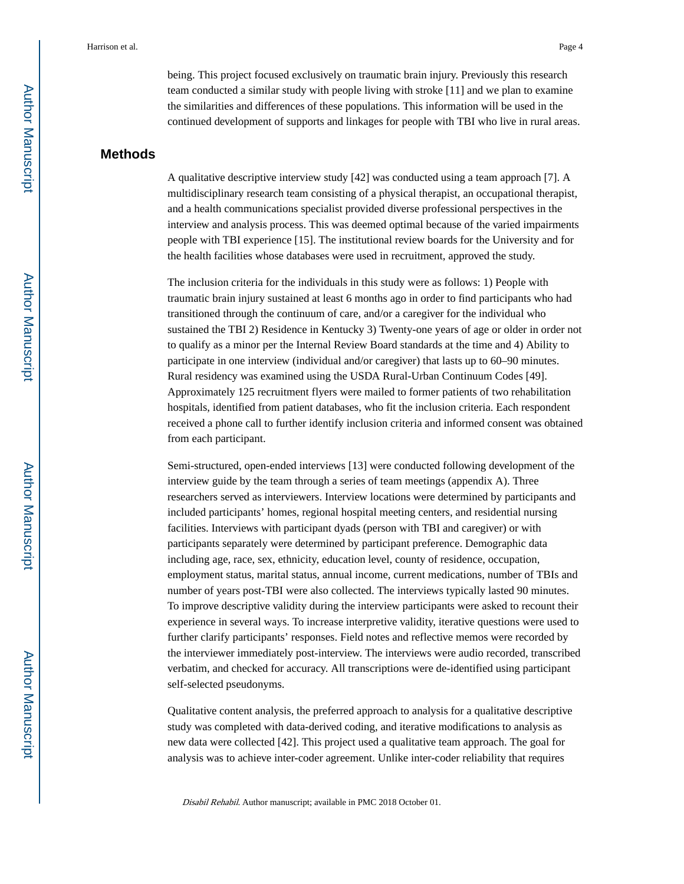being. This project focused exclusively on traumatic brain injury. Previously this research team conducted a similar study with people living with stroke [11] and we plan to examine the similarities and differences of these populations. This information will be used in the continued development of supports and linkages for people with TBI who live in rural areas.

## **Methods**

A qualitative descriptive interview study [42] was conducted using a team approach [7]. A multidisciplinary research team consisting of a physical therapist, an occupational therapist, and a health communications specialist provided diverse professional perspectives in the interview and analysis process. This was deemed optimal because of the varied impairments people with TBI experience [15]. The institutional review boards for the University and for the health facilities whose databases were used in recruitment, approved the study.

The inclusion criteria for the individuals in this study were as follows: 1) People with traumatic brain injury sustained at least 6 months ago in order to find participants who had transitioned through the continuum of care, and/or a caregiver for the individual who sustained the TBI 2) Residence in Kentucky 3) Twenty-one years of age or older in order not to qualify as a minor per the Internal Review Board standards at the time and 4) Ability to participate in one interview (individual and/or caregiver) that lasts up to 60–90 minutes. Rural residency was examined using the USDA Rural-Urban Continuum Codes [49]. Approximately 125 recruitment flyers were mailed to former patients of two rehabilitation hospitals, identified from patient databases, who fit the inclusion criteria. Each respondent received a phone call to further identify inclusion criteria and informed consent was obtained from each participant.

Semi-structured, open-ended interviews [13] were conducted following development of the interview guide by the team through a series of team meetings (appendix A). Three researchers served as interviewers. Interview locations were determined by participants and included participants' homes, regional hospital meeting centers, and residential nursing facilities. Interviews with participant dyads (person with TBI and caregiver) or with participants separately were determined by participant preference. Demographic data including age, race, sex, ethnicity, education level, county of residence, occupation, employment status, marital status, annual income, current medications, number of TBIs and number of years post-TBI were also collected. The interviews typically lasted 90 minutes. To improve descriptive validity during the interview participants were asked to recount their experience in several ways. To increase interpretive validity, iterative questions were used to further clarify participants' responses. Field notes and reflective memos were recorded by the interviewer immediately post-interview. The interviews were audio recorded, transcribed verbatim, and checked for accuracy. All transcriptions were de-identified using participant self-selected pseudonyms.

Qualitative content analysis, the preferred approach to analysis for a qualitative descriptive study was completed with data-derived coding, and iterative modifications to analysis as new data were collected [42]. This project used a qualitative team approach. The goal for analysis was to achieve inter-coder agreement. Unlike inter-coder reliability that requires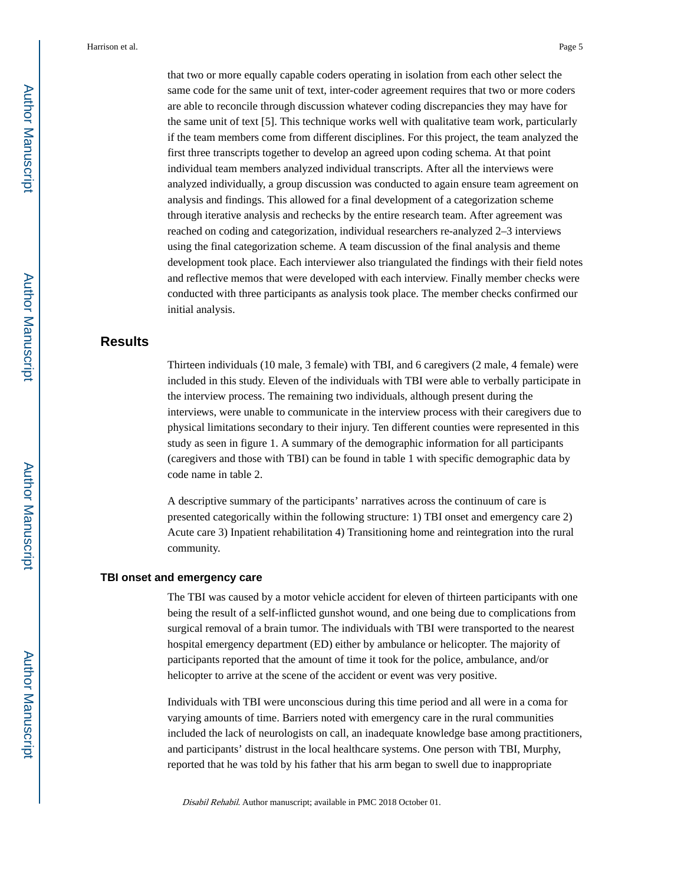that two or more equally capable coders operating in isolation from each other select the same code for the same unit of text, inter-coder agreement requires that two or more coders are able to reconcile through discussion whatever coding discrepancies they may have for the same unit of text [5]. This technique works well with qualitative team work, particularly if the team members come from different disciplines. For this project, the team analyzed the first three transcripts together to develop an agreed upon coding schema. At that point individual team members analyzed individual transcripts. After all the interviews were analyzed individually, a group discussion was conducted to again ensure team agreement on analysis and findings. This allowed for a final development of a categorization scheme through iterative analysis and rechecks by the entire research team. After agreement was reached on coding and categorization, individual researchers re-analyzed 2–3 interviews using the final categorization scheme. A team discussion of the final analysis and theme development took place. Each interviewer also triangulated the findings with their field notes and reflective memos that were developed with each interview. Finally member checks were conducted with three participants as analysis took place. The member checks confirmed our initial analysis.

## **Results**

Thirteen individuals (10 male, 3 female) with TBI, and 6 caregivers (2 male, 4 female) were included in this study. Eleven of the individuals with TBI were able to verbally participate in the interview process. The remaining two individuals, although present during the interviews, were unable to communicate in the interview process with their caregivers due to physical limitations secondary to their injury. Ten different counties were represented in this study as seen in figure 1. A summary of the demographic information for all participants (caregivers and those with TBI) can be found in table 1 with specific demographic data by code name in table 2.

A descriptive summary of the participants' narratives across the continuum of care is presented categorically within the following structure: 1) TBI onset and emergency care 2) Acute care 3) Inpatient rehabilitation 4) Transitioning home and reintegration into the rural community.

### **TBI onset and emergency care**

The TBI was caused by a motor vehicle accident for eleven of thirteen participants with one being the result of a self-inflicted gunshot wound, and one being due to complications from surgical removal of a brain tumor. The individuals with TBI were transported to the nearest hospital emergency department (ED) either by ambulance or helicopter. The majority of participants reported that the amount of time it took for the police, ambulance, and/or helicopter to arrive at the scene of the accident or event was very positive.

Individuals with TBI were unconscious during this time period and all were in a coma for varying amounts of time. Barriers noted with emergency care in the rural communities included the lack of neurologists on call, an inadequate knowledge base among practitioners, and participants' distrust in the local healthcare systems. One person with TBI, Murphy, reported that he was told by his father that his arm began to swell due to inappropriate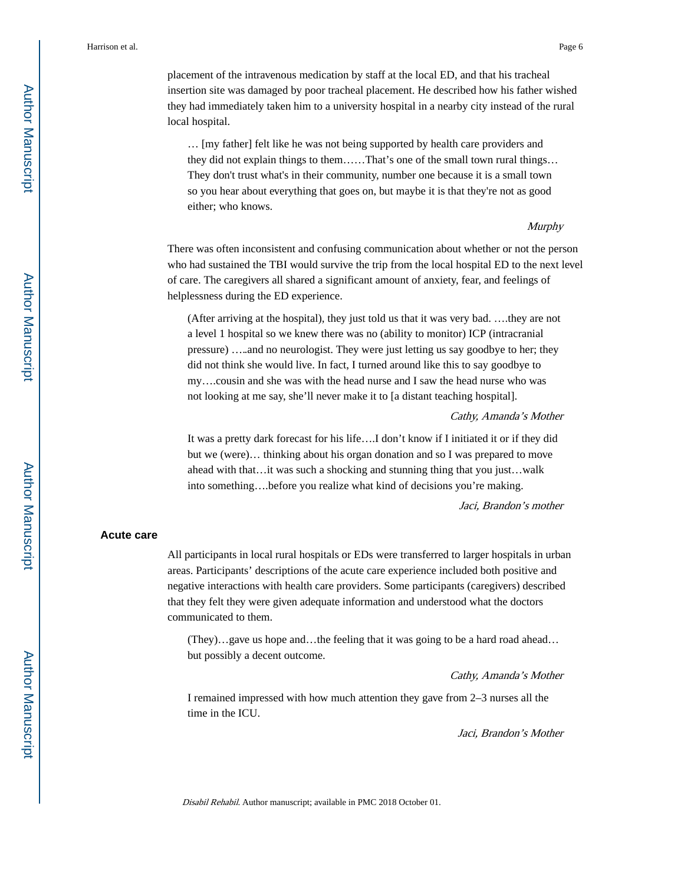placement of the intravenous medication by staff at the local ED, and that his tracheal insertion site was damaged by poor tracheal placement. He described how his father wished they had immediately taken him to a university hospital in a nearby city instead of the rural local hospital.

… [my father] felt like he was not being supported by health care providers and they did not explain things to them……That's one of the small town rural things… They don't trust what's in their community, number one because it is a small town so you hear about everything that goes on, but maybe it is that they're not as good either; who knows.

#### Murphy

There was often inconsistent and confusing communication about whether or not the person who had sustained the TBI would survive the trip from the local hospital ED to the next level of care. The caregivers all shared a significant amount of anxiety, fear, and feelings of helplessness during the ED experience.

(After arriving at the hospital), they just told us that it was very bad. ….they are not a level 1 hospital so we knew there was no (ability to monitor) ICP (intracranial pressure) …‥and no neurologist. They were just letting us say goodbye to her; they did not think she would live. In fact, I turned around like this to say goodbye to my….cousin and she was with the head nurse and I saw the head nurse who was not looking at me say, she'll never make it to [a distant teaching hospital].

#### Cathy, Amanda's Mother

It was a pretty dark forecast for his life….I don't know if I initiated it or if they did but we (were)… thinking about his organ donation and so I was prepared to move ahead with that…it was such a shocking and stunning thing that you just…walk into something….before you realize what kind of decisions you're making.

Jaci, Brandon's mother

#### **Acute care**

All participants in local rural hospitals or EDs were transferred to larger hospitals in urban areas. Participants' descriptions of the acute care experience included both positive and negative interactions with health care providers. Some participants (caregivers) described that they felt they were given adequate information and understood what the doctors communicated to them.

(They)…gave us hope and…the feeling that it was going to be a hard road ahead… but possibly a decent outcome.

Cathy, Amanda's Mother

I remained impressed with how much attention they gave from 2–3 nurses all the time in the ICU.

Jaci, Brandon's Mother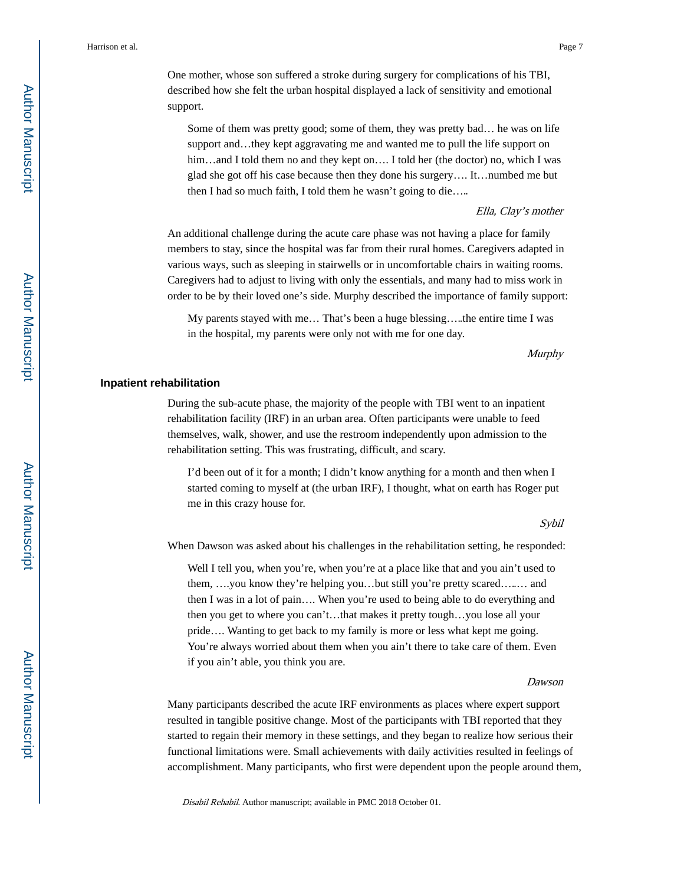One mother, whose son suffered a stroke during surgery for complications of his TBI, described how she felt the urban hospital displayed a lack of sensitivity and emotional support.

Some of them was pretty good; some of them, they was pretty bad… he was on life support and…they kept aggravating me and wanted me to pull the life support on him...and I told them no and they kept on.... I told her (the doctor) no, which I was glad she got off his case because then they done his surgery…. It…numbed me but then I had so much faith, I told them he wasn't going to die…‥

#### Ella, Clay's mother

An additional challenge during the acute care phase was not having a place for family members to stay, since the hospital was far from their rural homes. Caregivers adapted in various ways, such as sleeping in stairwells or in uncomfortable chairs in waiting rooms. Caregivers had to adjust to living with only the essentials, and many had to miss work in order to be by their loved one's side. Murphy described the importance of family support:

My parents stayed with me… That's been a huge blessing…‥the entire time I was in the hospital, my parents were only not with me for one day.

**Murphy** 

#### **Inpatient rehabilitation**

During the sub-acute phase, the majority of the people with TBI went to an inpatient rehabilitation facility (IRF) in an urban area. Often participants were unable to feed themselves, walk, shower, and use the restroom independently upon admission to the rehabilitation setting. This was frustrating, difficult, and scary.

I'd been out of it for a month; I didn't know anything for a month and then when I started coming to myself at (the urban IRF), I thought, what on earth has Roger put me in this crazy house for.

#### Sybil

When Dawson was asked about his challenges in the rehabilitation setting, he responded:

Well I tell you, when you're, when you're at a place like that and you ain't used to them, ....you know they're helping you...but still you're pretty scared........ and then I was in a lot of pain…. When you're used to being able to do everything and then you get to where you can't…that makes it pretty tough…you lose all your pride…. Wanting to get back to my family is more or less what kept me going. You're always worried about them when you ain't there to take care of them. Even if you ain't able, you think you are.

Dawson

Many participants described the acute IRF environments as places where expert support resulted in tangible positive change. Most of the participants with TBI reported that they started to regain their memory in these settings, and they began to realize how serious their functional limitations were. Small achievements with daily activities resulted in feelings of accomplishment. Many participants, who first were dependent upon the people around them,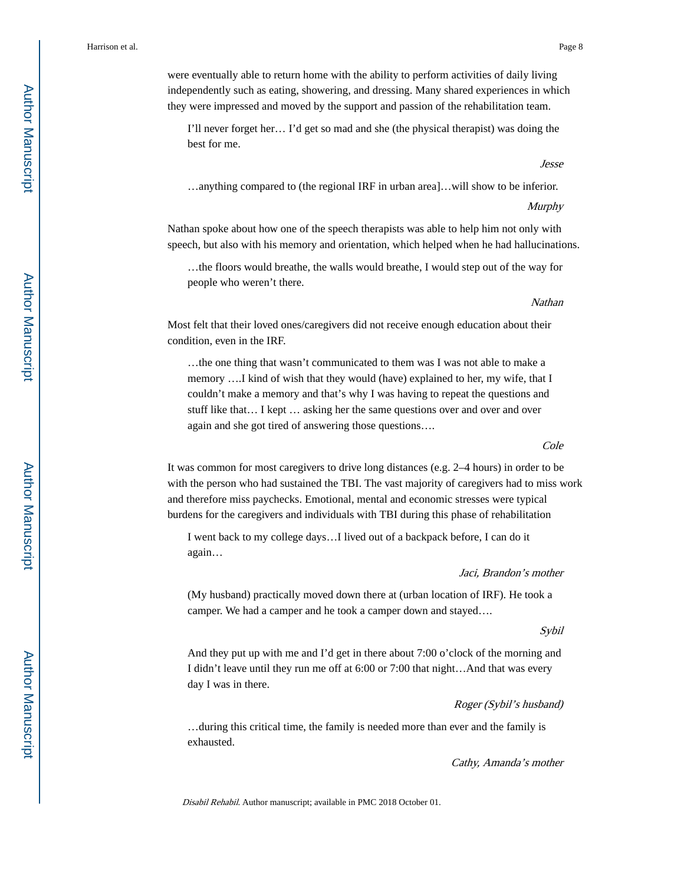were eventually able to return home with the ability to perform activities of daily living independently such as eating, showering, and dressing. Many shared experiences in which they were impressed and moved by the support and passion of the rehabilitation team.

I'll never forget her… I'd get so mad and she (the physical therapist) was doing the best for me.

…anything compared to (the regional IRF in urban area]…will show to be inferior.

#### **Murphy**

Jesse

Nathan spoke about how one of the speech therapists was able to help him not only with speech, but also with his memory and orientation, which helped when he had hallucinations.

…the floors would breathe, the walls would breathe, I would step out of the way for people who weren't there.

#### Nathan

Most felt that their loved ones/caregivers did not receive enough education about their condition, even in the IRF.

…the one thing that wasn't communicated to them was I was not able to make a memory ….I kind of wish that they would (have) explained to her, my wife, that I couldn't make a memory and that's why I was having to repeat the questions and stuff like that… I kept … asking her the same questions over and over and over again and she got tired of answering those questions….

## Cole

It was common for most caregivers to drive long distances (e.g. 2–4 hours) in order to be with the person who had sustained the TBI. The vast majority of caregivers had to miss work and therefore miss paychecks. Emotional, mental and economic stresses were typical burdens for the caregivers and individuals with TBI during this phase of rehabilitation

I went back to my college days…I lived out of a backpack before, I can do it again…

#### Jaci, Brandon's mother

(My husband) practically moved down there at (urban location of IRF). He took a camper. We had a camper and he took a camper down and stayed….

#### Sybil

And they put up with me and I'd get in there about 7:00 o'clock of the morning and I didn't leave until they run me off at 6:00 or 7:00 that night…And that was every day I was in there.

#### Roger (Sybil's husband)

…during this critical time, the family is needed more than ever and the family is exhausted.

Cathy, Amanda's mother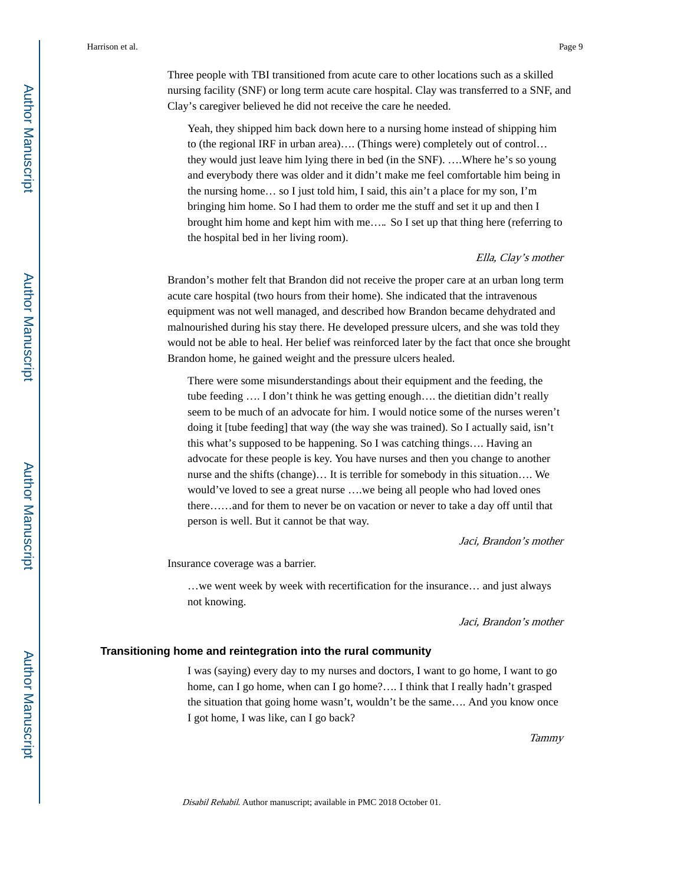Three people with TBI transitioned from acute care to other locations such as a skilled nursing facility (SNF) or long term acute care hospital. Clay was transferred to a SNF, and Clay's caregiver believed he did not receive the care he needed.

Yeah, they shipped him back down here to a nursing home instead of shipping him to (the regional IRF in urban area)…. (Things were) completely out of control… they would just leave him lying there in bed (in the SNF). ….Where he's so young and everybody there was older and it didn't make me feel comfortable him being in the nursing home… so I just told him, I said, this ain't a place for my son, I'm bringing him home. So I had them to order me the stuff and set it up and then I brought him home and kept him with me…‥ So I set up that thing here (referring to the hospital bed in her living room).

#### Ella, Clay's mother

Brandon's mother felt that Brandon did not receive the proper care at an urban long term acute care hospital (two hours from their home). She indicated that the intravenous equipment was not well managed, and described how Brandon became dehydrated and malnourished during his stay there. He developed pressure ulcers, and she was told they would not be able to heal. Her belief was reinforced later by the fact that once she brought Brandon home, he gained weight and the pressure ulcers healed.

There were some misunderstandings about their equipment and the feeding, the tube feeding …. I don't think he was getting enough…. the dietitian didn't really seem to be much of an advocate for him. I would notice some of the nurses weren't doing it [tube feeding] that way (the way she was trained). So I actually said, isn't this what's supposed to be happening. So I was catching things…. Having an advocate for these people is key. You have nurses and then you change to another nurse and the shifts (change)… It is terrible for somebody in this situation…. We would've loved to see a great nurse ….we being all people who had loved ones there……and for them to never be on vacation or never to take a day off until that person is well. But it cannot be that way.

Jaci, Brandon's mother

Insurance coverage was a barrier.

…we went week by week with recertification for the insurance… and just always not knowing.

Jaci, Brandon's mother

#### **Transitioning home and reintegration into the rural community**

I was (saying) every day to my nurses and doctors, I want to go home, I want to go home, can I go home, when can I go home?…. I think that I really hadn't grasped the situation that going home wasn't, wouldn't be the same…. And you know once I got home, I was like, can I go back?

Tammy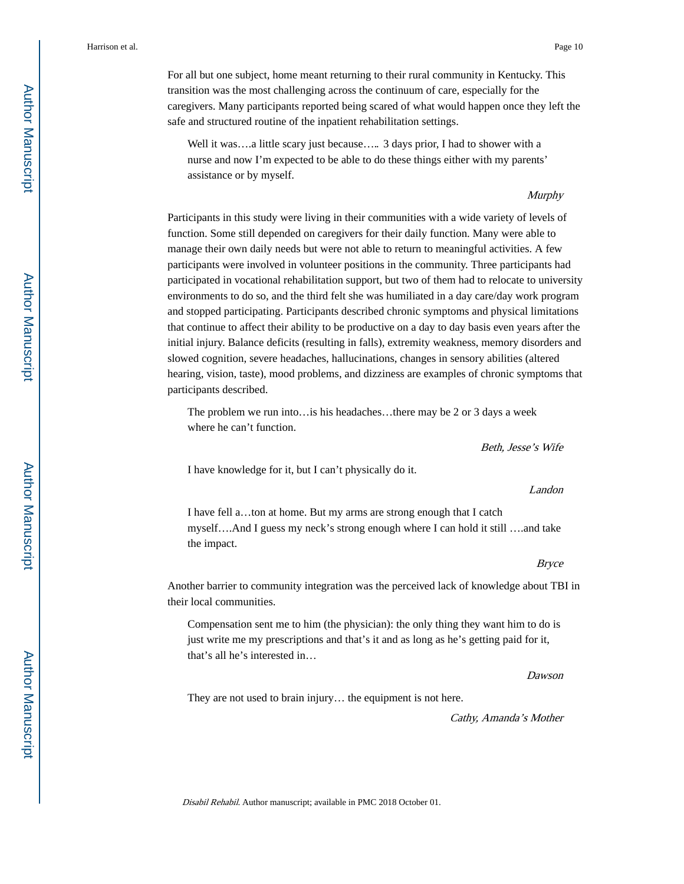For all but one subject, home meant returning to their rural community in Kentucky. This transition was the most challenging across the continuum of care, especially for the caregivers. Many participants reported being scared of what would happen once they left the safe and structured routine of the inpatient rehabilitation settings.

Well it was....a little scary just because..... 3 days prior, I had to shower with a nurse and now I'm expected to be able to do these things either with my parents' assistance or by myself.

#### Murphy

Participants in this study were living in their communities with a wide variety of levels of function. Some still depended on caregivers for their daily function. Many were able to manage their own daily needs but were not able to return to meaningful activities. A few participants were involved in volunteer positions in the community. Three participants had participated in vocational rehabilitation support, but two of them had to relocate to university environments to do so, and the third felt she was humiliated in a day care/day work program and stopped participating. Participants described chronic symptoms and physical limitations that continue to affect their ability to be productive on a day to day basis even years after the initial injury. Balance deficits (resulting in falls), extremity weakness, memory disorders and slowed cognition, severe headaches, hallucinations, changes in sensory abilities (altered hearing, vision, taste), mood problems, and dizziness are examples of chronic symptoms that participants described.

The problem we run into…is his headaches…there may be 2 or 3 days a week where he can't function.

Beth, Jesse's Wife

I have knowledge for it, but I can't physically do it.

Landon

I have fell a…ton at home. But my arms are strong enough that I catch myself….And I guess my neck's strong enough where I can hold it still ….and take the impact.

Bryce

Another barrier to community integration was the perceived lack of knowledge about TBI in their local communities.

Compensation sent me to him (the physician): the only thing they want him to do is just write me my prescriptions and that's it and as long as he's getting paid for it, that's all he's interested in…

Dawson

They are not used to brain injury… the equipment is not here.

Cathy, Amanda's Mother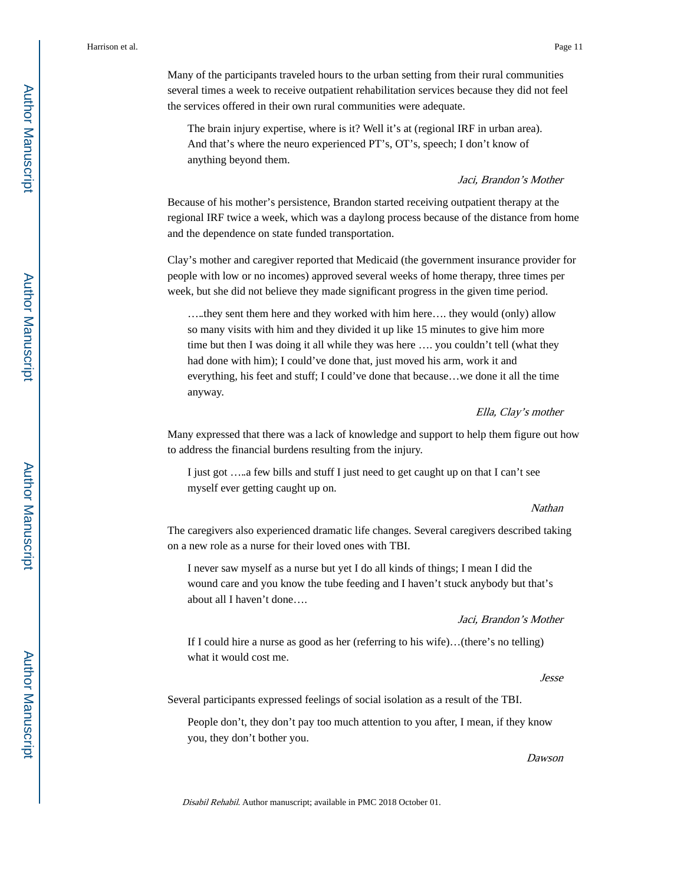Many of the participants traveled hours to the urban setting from their rural communities several times a week to receive outpatient rehabilitation services because they did not feel the services offered in their own rural communities were adequate.

The brain injury expertise, where is it? Well it's at (regional IRF in urban area). And that's where the neuro experienced PT's, OT's, speech; I don't know of anything beyond them.

#### Jaci, Brandon's Mother

Because of his mother's persistence, Brandon started receiving outpatient therapy at the regional IRF twice a week, which was a daylong process because of the distance from home and the dependence on state funded transportation.

Clay's mother and caregiver reported that Medicaid (the government insurance provider for people with low or no incomes) approved several weeks of home therapy, three times per week, but she did not believe they made significant progress in the given time period.

…‥they sent them here and they worked with him here…. they would (only) allow so many visits with him and they divided it up like 15 minutes to give him more time but then I was doing it all while they was here …. you couldn't tell (what they had done with him); I could've done that, just moved his arm, work it and everything, his feet and stuff; I could've done that because…we done it all the time anyway.

#### Ella, Clay's mother

Many expressed that there was a lack of knowledge and support to help them figure out how to address the financial burdens resulting from the injury.

I just got …‥a few bills and stuff I just need to get caught up on that I can't see myself ever getting caught up on.

#### Nathan

The caregivers also experienced dramatic life changes. Several caregivers described taking on a new role as a nurse for their loved ones with TBI.

I never saw myself as a nurse but yet I do all kinds of things; I mean I did the wound care and you know the tube feeding and I haven't stuck anybody but that's about all I haven't done….

#### Jaci, Brandon's Mother

If I could hire a nurse as good as her (referring to his wife)…(there's no telling) what it would cost me.

#### Jesse

Several participants expressed feelings of social isolation as a result of the TBI.

People don't, they don't pay too much attention to you after, I mean, if they know you, they don't bother you.

Dawson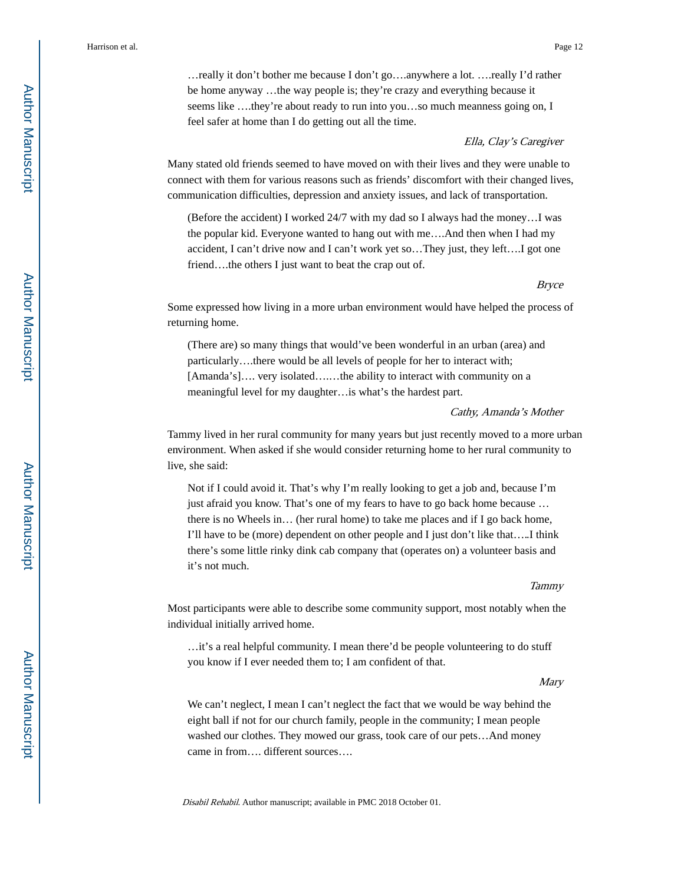…really it don't bother me because I don't go….anywhere a lot. ….really I'd rather be home anyway …the way people is; they're crazy and everything because it seems like ....they're about ready to run into you...so much meanness going on, I feel safer at home than I do getting out all the time.

#### Ella, Clay's Caregiver

Many stated old friends seemed to have moved on with their lives and they were unable to connect with them for various reasons such as friends' discomfort with their changed lives, communication difficulties, depression and anxiety issues, and lack of transportation.

(Before the accident) I worked 24/7 with my dad so I always had the money…I was the popular kid. Everyone wanted to hang out with me….And then when I had my accident, I can't drive now and I can't work yet so…They just, they left….I got one friend....the others I just want to beat the crap out of.

#### Bryce

Some expressed how living in a more urban environment would have helped the process of returning home.

(There are) so many things that would've been wonderful in an urban (area) and particularly….there would be all levels of people for her to interact with; [Amanda's]…. very isolated…...the ability to interact with community on a meaningful level for my daughter…is what's the hardest part.

#### Cathy, Amanda's Mother

Tammy lived in her rural community for many years but just recently moved to a more urban environment. When asked if she would consider returning home to her rural community to live, she said:

Not if I could avoid it. That's why I'm really looking to get a job and, because I'm just afraid you know. That's one of my fears to have to go back home because … there is no Wheels in… (her rural home) to take me places and if I go back home, I'll have to be (more) dependent on other people and I just don't like that…‥I think there's some little rinky dink cab company that (operates on) a volunteer basis and it's not much.

#### Tammy

Most participants were able to describe some community support, most notably when the individual initially arrived home.

…it's a real helpful community. I mean there'd be people volunteering to do stuff you know if I ever needed them to; I am confident of that.

#### **Mary**

We can't neglect, I mean I can't neglect the fact that we would be way behind the eight ball if not for our church family, people in the community; I mean people washed our clothes. They mowed our grass, took care of our pets…And money came in from…. different sources….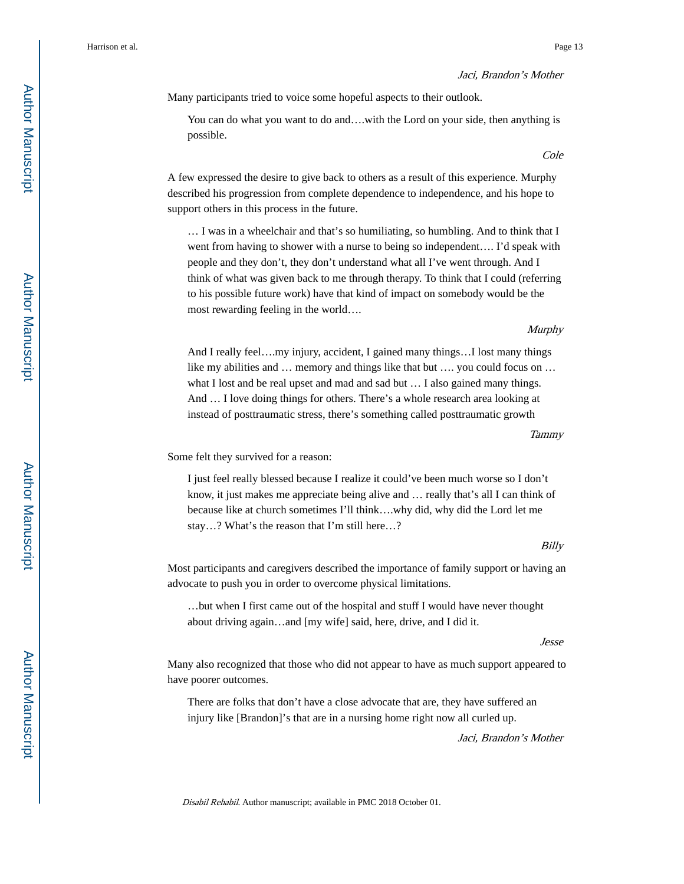Cole

Jaci, Brandon's Mother

Many participants tried to voice some hopeful aspects to their outlook.

You can do what you want to do and….with the Lord on your side, then anything is possible.

A few expressed the desire to give back to others as a result of this experience. Murphy described his progression from complete dependence to independence, and his hope to support others in this process in the future.

… I was in a wheelchair and that's so humiliating, so humbling. And to think that I went from having to shower with a nurse to being so independent…. I'd speak with people and they don't, they don't understand what all I've went through. And I think of what was given back to me through therapy. To think that I could (referring to his possible future work) have that kind of impact on somebody would be the most rewarding feeling in the world….

And I really feel….my injury, accident, I gained many things…I lost many things like my abilities and … memory and things like that but …. you could focus on … what I lost and be real upset and mad and sad but ... I also gained many things. And … I love doing things for others. There's a whole research area looking at instead of posttraumatic stress, there's something called posttraumatic growth

Tammy

Murphy

Some felt they survived for a reason:

I just feel really blessed because I realize it could've been much worse so I don't know, it just makes me appreciate being alive and … really that's all I can think of because like at church sometimes I'll think….why did, why did the Lord let me stay…? What's the reason that I'm still here…?

#### **Billy**

Most participants and caregivers described the importance of family support or having an advocate to push you in order to overcome physical limitations.

…but when I first came out of the hospital and stuff I would have never thought about driving again…and [my wife] said, here, drive, and I did it.

#### Jesse

Many also recognized that those who did not appear to have as much support appeared to have poorer outcomes.

There are folks that don't have a close advocate that are, they have suffered an injury like [Brandon]'s that are in a nursing home right now all curled up.

Jaci, Brandon's Mother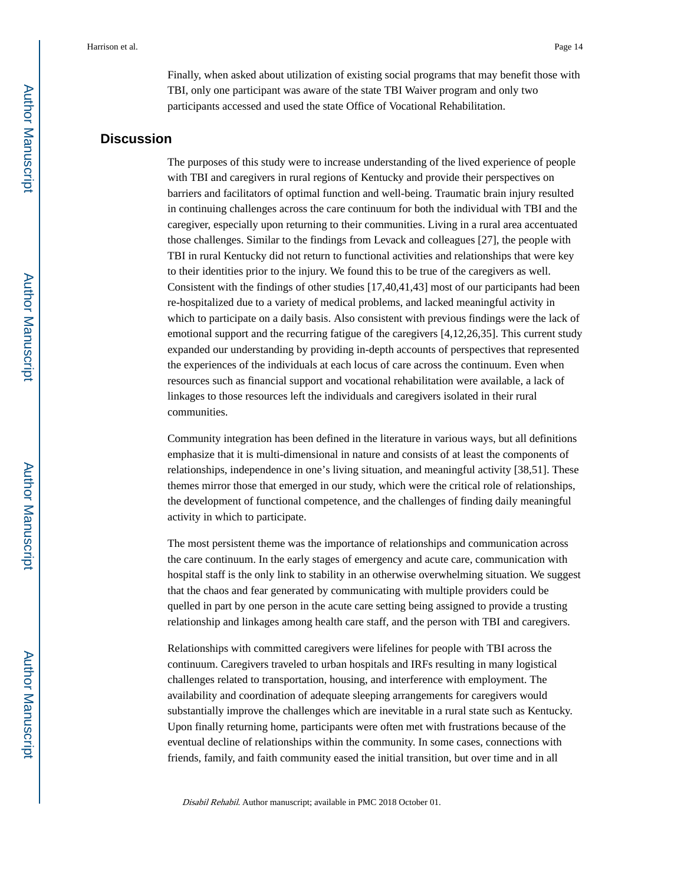Finally, when asked about utilization of existing social programs that may benefit those with TBI, only one participant was aware of the state TBI Waiver program and only two participants accessed and used the state Office of Vocational Rehabilitation.

## **Discussion**

The purposes of this study were to increase understanding of the lived experience of people with TBI and caregivers in rural regions of Kentucky and provide their perspectives on barriers and facilitators of optimal function and well-being. Traumatic brain injury resulted in continuing challenges across the care continuum for both the individual with TBI and the caregiver, especially upon returning to their communities. Living in a rural area accentuated those challenges. Similar to the findings from Levack and colleagues [27], the people with TBI in rural Kentucky did not return to functional activities and relationships that were key to their identities prior to the injury. We found this to be true of the caregivers as well. Consistent with the findings of other studies [17,40,41,43] most of our participants had been re-hospitalized due to a variety of medical problems, and lacked meaningful activity in which to participate on a daily basis. Also consistent with previous findings were the lack of emotional support and the recurring fatigue of the caregivers [4,12,26,35]. This current study expanded our understanding by providing in-depth accounts of perspectives that represented the experiences of the individuals at each locus of care across the continuum. Even when resources such as financial support and vocational rehabilitation were available, a lack of linkages to those resources left the individuals and caregivers isolated in their rural communities.

Community integration has been defined in the literature in various ways, but all definitions emphasize that it is multi-dimensional in nature and consists of at least the components of relationships, independence in one's living situation, and meaningful activity [38,51]. These themes mirror those that emerged in our study, which were the critical role of relationships, the development of functional competence, and the challenges of finding daily meaningful activity in which to participate.

The most persistent theme was the importance of relationships and communication across the care continuum. In the early stages of emergency and acute care, communication with hospital staff is the only link to stability in an otherwise overwhelming situation. We suggest that the chaos and fear generated by communicating with multiple providers could be quelled in part by one person in the acute care setting being assigned to provide a trusting relationship and linkages among health care staff, and the person with TBI and caregivers.

Relationships with committed caregivers were lifelines for people with TBI across the continuum. Caregivers traveled to urban hospitals and IRFs resulting in many logistical challenges related to transportation, housing, and interference with employment. The availability and coordination of adequate sleeping arrangements for caregivers would substantially improve the challenges which are inevitable in a rural state such as Kentucky. Upon finally returning home, participants were often met with frustrations because of the eventual decline of relationships within the community. In some cases, connections with friends, family, and faith community eased the initial transition, but over time and in all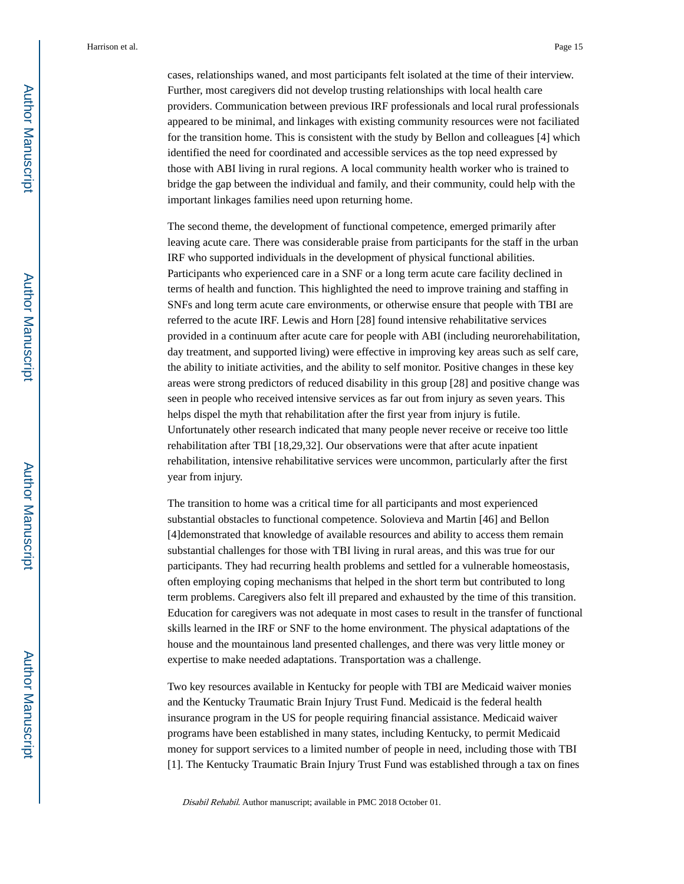cases, relationships waned, and most participants felt isolated at the time of their interview. Further, most caregivers did not develop trusting relationships with local health care providers. Communication between previous IRF professionals and local rural professionals appeared to be minimal, and linkages with existing community resources were not faciliated for the transition home. This is consistent with the study by Bellon and colleagues [4] which identified the need for coordinated and accessible services as the top need expressed by those with ABI living in rural regions. A local community health worker who is trained to bridge the gap between the individual and family, and their community, could help with the important linkages families need upon returning home.

The second theme, the development of functional competence, emerged primarily after leaving acute care. There was considerable praise from participants for the staff in the urban IRF who supported individuals in the development of physical functional abilities. Participants who experienced care in a SNF or a long term acute care facility declined in terms of health and function. This highlighted the need to improve training and staffing in SNFs and long term acute care environments, or otherwise ensure that people with TBI are referred to the acute IRF. Lewis and Horn [28] found intensive rehabilitative services provided in a continuum after acute care for people with ABI (including neurorehabilitation, day treatment, and supported living) were effective in improving key areas such as self care, the ability to initiate activities, and the ability to self monitor. Positive changes in these key areas were strong predictors of reduced disability in this group [28] and positive change was seen in people who received intensive services as far out from injury as seven years. This helps dispel the myth that rehabilitation after the first year from injury is futile. Unfortunately other research indicated that many people never receive or receive too little rehabilitation after TBI [18,29,32]. Our observations were that after acute inpatient rehabilitation, intensive rehabilitative services were uncommon, particularly after the first year from injury.

The transition to home was a critical time for all participants and most experienced substantial obstacles to functional competence. Solovieva and Martin [46] and Bellon [4]demonstrated that knowledge of available resources and ability to access them remain substantial challenges for those with TBI living in rural areas, and this was true for our participants. They had recurring health problems and settled for a vulnerable homeostasis, often employing coping mechanisms that helped in the short term but contributed to long term problems. Caregivers also felt ill prepared and exhausted by the time of this transition. Education for caregivers was not adequate in most cases to result in the transfer of functional skills learned in the IRF or SNF to the home environment. The physical adaptations of the house and the mountainous land presented challenges, and there was very little money or expertise to make needed adaptations. Transportation was a challenge.

Two key resources available in Kentucky for people with TBI are Medicaid waiver monies and the Kentucky Traumatic Brain Injury Trust Fund. Medicaid is the federal health insurance program in the US for people requiring financial assistance. Medicaid waiver programs have been established in many states, including Kentucky, to permit Medicaid money for support services to a limited number of people in need, including those with TBI [1]. The Kentucky Traumatic Brain Injury Trust Fund was established through a tax on fines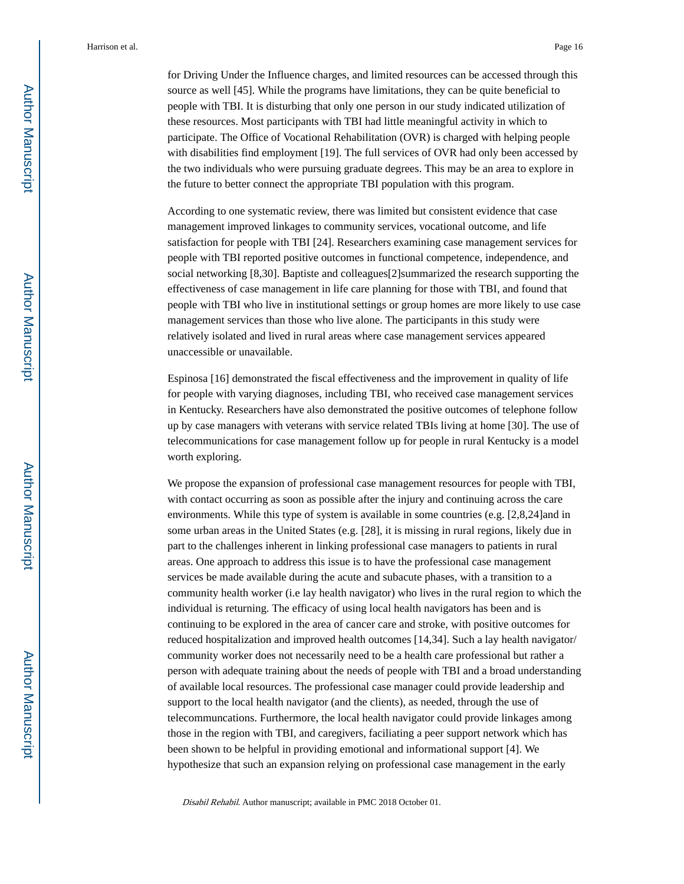for Driving Under the Influence charges, and limited resources can be accessed through this source as well [45]. While the programs have limitations, they can be quite beneficial to people with TBI. It is disturbing that only one person in our study indicated utilization of these resources. Most participants with TBI had little meaningful activity in which to participate. The Office of Vocational Rehabilitation (OVR) is charged with helping people with disabilities find employment [19]. The full services of OVR had only been accessed by the two individuals who were pursuing graduate degrees. This may be an area to explore in the future to better connect the appropriate TBI population with this program.

According to one systematic review, there was limited but consistent evidence that case management improved linkages to community services, vocational outcome, and life satisfaction for people with TBI [24]. Researchers examining case management services for people with TBI reported positive outcomes in functional competence, independence, and social networking [8,30]. Baptiste and colleagues[2]summarized the research supporting the effectiveness of case management in life care planning for those with TBI, and found that people with TBI who live in institutional settings or group homes are more likely to use case management services than those who live alone. The participants in this study were relatively isolated and lived in rural areas where case management services appeared unaccessible or unavailable.

Espinosa [16] demonstrated the fiscal effectiveness and the improvement in quality of life for people with varying diagnoses, including TBI, who received case management services in Kentucky. Researchers have also demonstrated the positive outcomes of telephone follow up by case managers with veterans with service related TBIs living at home [30]. The use of telecommunications for case management follow up for people in rural Kentucky is a model worth exploring.

We propose the expansion of professional case management resources for people with TBI, with contact occurring as soon as possible after the injury and continuing across the care environments. While this type of system is available in some countries (e.g. [2,8,24]and in some urban areas in the United States (e.g. [28], it is missing in rural regions, likely due in part to the challenges inherent in linking professional case managers to patients in rural areas. One approach to address this issue is to have the professional case management services be made available during the acute and subacute phases, with a transition to a community health worker (i.e lay health navigator) who lives in the rural region to which the individual is returning. The efficacy of using local health navigators has been and is continuing to be explored in the area of cancer care and stroke, with positive outcomes for reduced hospitalization and improved health outcomes [14,34]. Such a lay health navigator/ community worker does not necessarily need to be a health care professional but rather a person with adequate training about the needs of people with TBI and a broad understanding of available local resources. The professional case manager could provide leadership and support to the local health navigator (and the clients), as needed, through the use of telecommuncations. Furthermore, the local health navigator could provide linkages among those in the region with TBI, and caregivers, faciliating a peer support network which has been shown to be helpful in providing emotional and informational support [4]. We hypothesize that such an expansion relying on professional case management in the early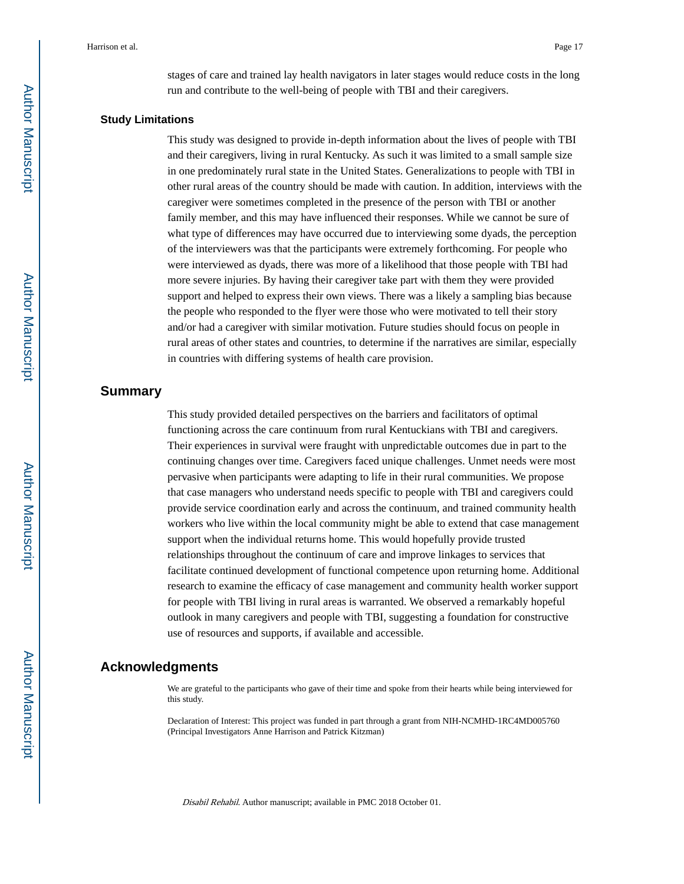stages of care and trained lay health navigators in later stages would reduce costs in the long run and contribute to the well-being of people with TBI and their caregivers.

#### **Study Limitations**

This study was designed to provide in-depth information about the lives of people with TBI and their caregivers, living in rural Kentucky. As such it was limited to a small sample size in one predominately rural state in the United States. Generalizations to people with TBI in other rural areas of the country should be made with caution. In addition, interviews with the caregiver were sometimes completed in the presence of the person with TBI or another family member, and this may have influenced their responses. While we cannot be sure of what type of differences may have occurred due to interviewing some dyads, the perception of the interviewers was that the participants were extremely forthcoming. For people who were interviewed as dyads, there was more of a likelihood that those people with TBI had more severe injuries. By having their caregiver take part with them they were provided support and helped to express their own views. There was a likely a sampling bias because the people who responded to the flyer were those who were motivated to tell their story and/or had a caregiver with similar motivation. Future studies should focus on people in rural areas of other states and countries, to determine if the narratives are similar, especially in countries with differing systems of health care provision.

### **Summary**

This study provided detailed perspectives on the barriers and facilitators of optimal functioning across the care continuum from rural Kentuckians with TBI and caregivers. Their experiences in survival were fraught with unpredictable outcomes due in part to the continuing changes over time. Caregivers faced unique challenges. Unmet needs were most pervasive when participants were adapting to life in their rural communities. We propose that case managers who understand needs specific to people with TBI and caregivers could provide service coordination early and across the continuum, and trained community health workers who live within the local community might be able to extend that case management support when the individual returns home. This would hopefully provide trusted relationships throughout the continuum of care and improve linkages to services that facilitate continued development of functional competence upon returning home. Additional research to examine the efficacy of case management and community health worker support for people with TBI living in rural areas is warranted. We observed a remarkably hopeful outlook in many caregivers and people with TBI, suggesting a foundation for constructive use of resources and supports, if available and accessible.

## **Acknowledgments**

We are grateful to the participants who gave of their time and spoke from their hearts while being interviewed for this study.

Declaration of Interest: This project was funded in part through a grant from NIH-NCMHD-1RC4MD005760 (Principal Investigators Anne Harrison and Patrick Kitzman)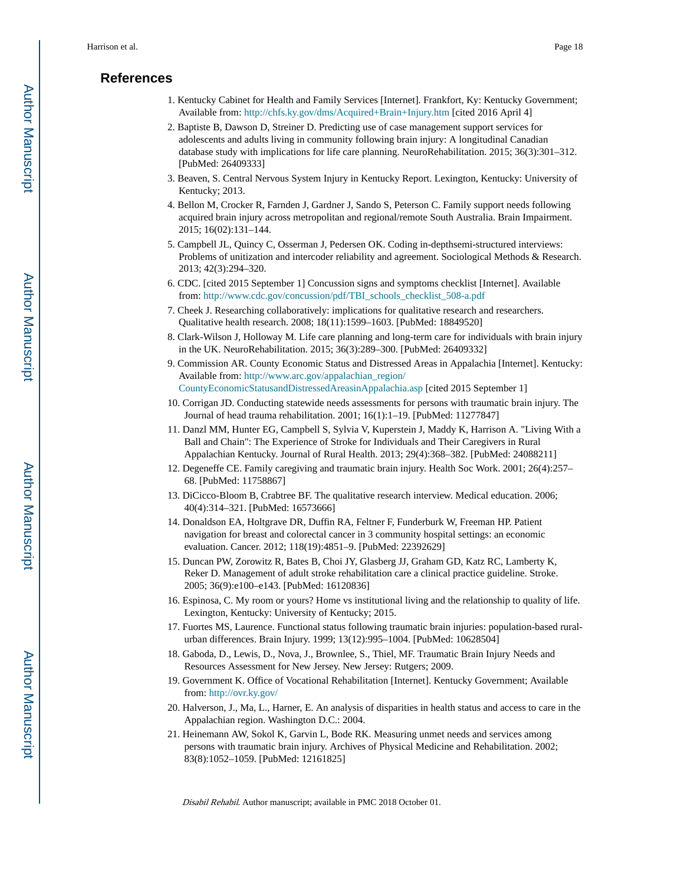## **References**

- 1. Kentucky Cabinet for Health and Family Services [Internet]. Frankfort, Ky: Kentucky Government; Available from: <http://chfs.ky.gov/dms/Acquired+Brain+Injury.htm>[cited 2016 April 4]
- 2. Baptiste B, Dawson D, Streiner D. Predicting use of case management support services for adolescents and adults living in community following brain injury: A longitudinal Canadian database study with implications for life care planning. NeuroRehabilitation. 2015; 36(3):301–312. [PubMed: 26409333]
- 3. Beaven, S. Central Nervous System Injury in Kentucky Report. Lexington, Kentucky: University of Kentucky; 2013.
- 4. Bellon M, Crocker R, Farnden J, Gardner J, Sando S, Peterson C. Family support needs following acquired brain injury across metropolitan and regional/remote South Australia. Brain Impairment. 2015; 16(02):131–144.
- 5. Campbell JL, Quincy C, Osserman J, Pedersen OK. Coding in-depthsemi-structured interviews: Problems of unitization and intercoder reliability and agreement. Sociological Methods & Research. 2013; 42(3):294–320.
- 6. CDC. [cited 2015 September 1] Concussion signs and symptoms checklist [Internet]. Available from: [http://www.cdc.gov/concussion/pdf/TBI\\_schools\\_checklist\\_508-a.pdf](http://www.cdc.gov/concussion/pdf/TBI_schools_checklist_508-a.pdf)
- 7. Cheek J. Researching collaboratively: implications for qualitative research and researchers. Qualitative health research. 2008; 18(11):1599–1603. [PubMed: 18849520]
- 8. Clark-Wilson J, Holloway M. Life care planning and long-term care for individuals with brain injury in the UK. NeuroRehabilitation. 2015; 36(3):289–300. [PubMed: 26409332]
- 9. Commission AR. County Economic Status and Distressed Areas in Appalachia [Internet]. Kentucky: Available from: [http://www.arc.gov/appalachian\\_region/](http://www.arc.gov/appalachian_region/CountyEconomicStatusandDistressedAreasinAppalachia.asp) [CountyEconomicStatusandDistressedAreasinAppalachia.asp](http://www.arc.gov/appalachian_region/CountyEconomicStatusandDistressedAreasinAppalachia.asp) [cited 2015 September 1]
- 10. Corrigan JD. Conducting statewide needs assessments for persons with traumatic brain injury. The Journal of head trauma rehabilitation. 2001; 16(1):1–19. [PubMed: 11277847]
- 11. Danzl MM, Hunter EG, Campbell S, Sylvia V, Kuperstein J, Maddy K, Harrison A. "Living With a Ball and Chain": The Experience of Stroke for Individuals and Their Caregivers in Rural Appalachian Kentucky. Journal of Rural Health. 2013; 29(4):368–382. [PubMed: 24088211]
- 12. Degeneffe CE. Family caregiving and traumatic brain injury. Health Soc Work. 2001; 26(4):257– 68. [PubMed: 11758867]
- 13. DiCicco-Bloom B, Crabtree BF. The qualitative research interview. Medical education. 2006; 40(4):314–321. [PubMed: 16573666]
- 14. Donaldson EA, Holtgrave DR, Duffin RA, Feltner F, Funderburk W, Freeman HP. Patient navigation for breast and colorectal cancer in 3 community hospital settings: an economic evaluation. Cancer. 2012; 118(19):4851–9. [PubMed: 22392629]
- 15. Duncan PW, Zorowitz R, Bates B, Choi JY, Glasberg JJ, Graham GD, Katz RC, Lamberty K, Reker D. Management of adult stroke rehabilitation care a clinical practice guideline. Stroke. 2005; 36(9):e100–e143. [PubMed: 16120836]
- 16. Espinosa, C. My room or yours? Home vs institutional living and the relationship to quality of life. Lexington, Kentucky: University of Kentucky; 2015.
- 17. Fuortes MS, Laurence. Functional status following traumatic brain injuries: population-based ruralurban differences. Brain Injury. 1999; 13(12):995–1004. [PubMed: 10628504]
- 18. Gaboda, D., Lewis, D., Nova, J., Brownlee, S., Thiel, MF. Traumatic Brain Injury Needs and Resources Assessment for New Jersey. New Jersey: Rutgers; 2009.
- 19. Government K. Office of Vocational Rehabilitation [Internet]. Kentucky Government; Available from:<http://ovr.ky.gov/>
- 20. Halverson, J., Ma, L., Harner, E. An analysis of disparities in health status and access to care in the Appalachian region. Washington D.C.: 2004.
- 21. Heinemann AW, Sokol K, Garvin L, Bode RK. Measuring unmet needs and services among persons with traumatic brain injury. Archives of Physical Medicine and Rehabilitation. 2002; 83(8):1052–1059. [PubMed: 12161825]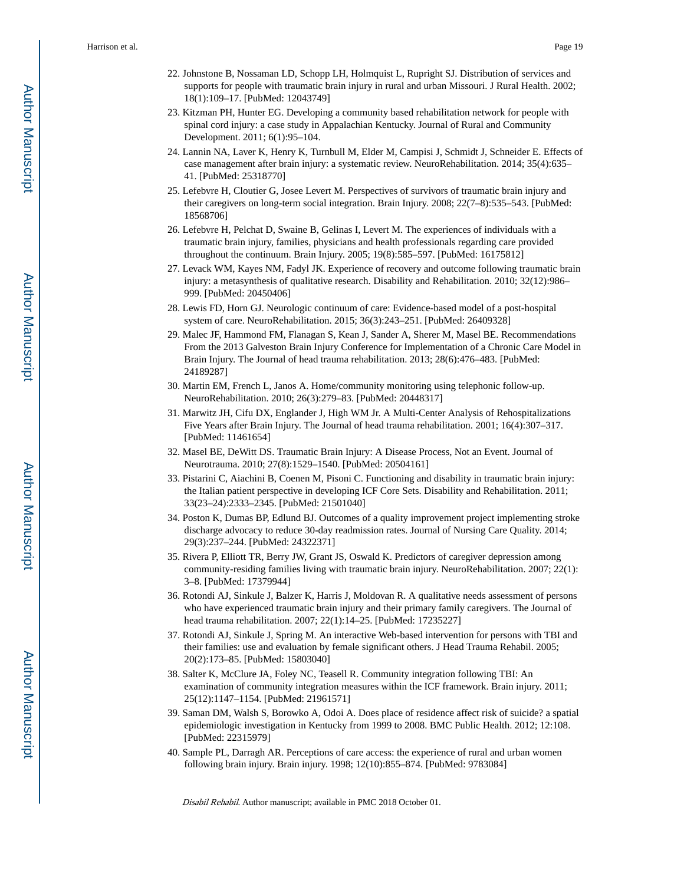- 22. Johnstone B, Nossaman LD, Schopp LH, Holmquist L, Rupright SJ. Distribution of services and supports for people with traumatic brain injury in rural and urban Missouri. J Rural Health. 2002; 18(1):109–17. [PubMed: 12043749]
- 23. Kitzman PH, Hunter EG. Developing a community based rehabilitation network for people with spinal cord injury: a case study in Appalachian Kentucky. Journal of Rural and Community Development. 2011; 6(1):95–104.
- 24. Lannin NA, Laver K, Henry K, Turnbull M, Elder M, Campisi J, Schmidt J, Schneider E. Effects of case management after brain injury: a systematic review. NeuroRehabilitation. 2014; 35(4):635– 41. [PubMed: 25318770]
- 25. Lefebvre H, Cloutier G, Josee Levert M. Perspectives of survivors of traumatic brain injury and their caregivers on long-term social integration. Brain Injury. 2008; 22(7–8):535–543. [PubMed: 18568706]
- 26. Lefebvre H, Pelchat D, Swaine B, Gelinas I, Levert M. The experiences of individuals with a traumatic brain injury, families, physicians and health professionals regarding care provided throughout the continuum. Brain Injury. 2005; 19(8):585–597. [PubMed: 16175812]
- 27. Levack WM, Kayes NM, Fadyl JK. Experience of recovery and outcome following traumatic brain injury: a metasynthesis of qualitative research. Disability and Rehabilitation. 2010; 32(12):986– 999. [PubMed: 20450406]
- 28. Lewis FD, Horn GJ. Neurologic continuum of care: Evidence-based model of a post-hospital system of care. NeuroRehabilitation. 2015; 36(3):243–251. [PubMed: 26409328]
- 29. Malec JF, Hammond FM, Flanagan S, Kean J, Sander A, Sherer M, Masel BE. Recommendations From the 2013 Galveston Brain Injury Conference for Implementation of a Chronic Care Model in Brain Injury. The Journal of head trauma rehabilitation. 2013; 28(6):476–483. [PubMed: 24189287]
- 30. Martin EM, French L, Janos A. Home/community monitoring using telephonic follow-up. NeuroRehabilitation. 2010; 26(3):279–83. [PubMed: 20448317]
- 31. Marwitz JH, Cifu DX, Englander J, High WM Jr. A Multi-Center Analysis of Rehospitalizations Five Years after Brain Injury. The Journal of head trauma rehabilitation. 2001; 16(4):307–317. [PubMed: 11461654]
- 32. Masel BE, DeWitt DS. Traumatic Brain Injury: A Disease Process, Not an Event. Journal of Neurotrauma. 2010; 27(8):1529–1540. [PubMed: 20504161]
- 33. Pistarini C, Aiachini B, Coenen M, Pisoni C. Functioning and disability in traumatic brain injury: the Italian patient perspective in developing ICF Core Sets. Disability and Rehabilitation. 2011; 33(23–24):2333–2345. [PubMed: 21501040]
- 34. Poston K, Dumas BP, Edlund BJ. Outcomes of a quality improvement project implementing stroke discharge advocacy to reduce 30-day readmission rates. Journal of Nursing Care Quality. 2014; 29(3):237–244. [PubMed: 24322371]
- 35. Rivera P, Elliott TR, Berry JW, Grant JS, Oswald K. Predictors of caregiver depression among community-residing families living with traumatic brain injury. NeuroRehabilitation. 2007; 22(1): 3–8. [PubMed: 17379944]
- 36. Rotondi AJ, Sinkule J, Balzer K, Harris J, Moldovan R. A qualitative needs assessment of persons who have experienced traumatic brain injury and their primary family caregivers. The Journal of head trauma rehabilitation. 2007; 22(1):14–25. [PubMed: 17235227]
- 37. Rotondi AJ, Sinkule J, Spring M. An interactive Web-based intervention for persons with TBI and their families: use and evaluation by female significant others. J Head Trauma Rehabil. 2005; 20(2):173–85. [PubMed: 15803040]
- 38. Salter K, McClure JA, Foley NC, Teasell R. Community integration following TBI: An examination of community integration measures within the ICF framework. Brain injury. 2011; 25(12):1147–1154. [PubMed: 21961571]
- 39. Saman DM, Walsh S, Borowko A, Odoi A. Does place of residence affect risk of suicide? a spatial epidemiologic investigation in Kentucky from 1999 to 2008. BMC Public Health. 2012; 12:108. [PubMed: 22315979]
- 40. Sample PL, Darragh AR. Perceptions of care access: the experience of rural and urban women following brain injury. Brain injury. 1998; 12(10):855–874. [PubMed: 9783084]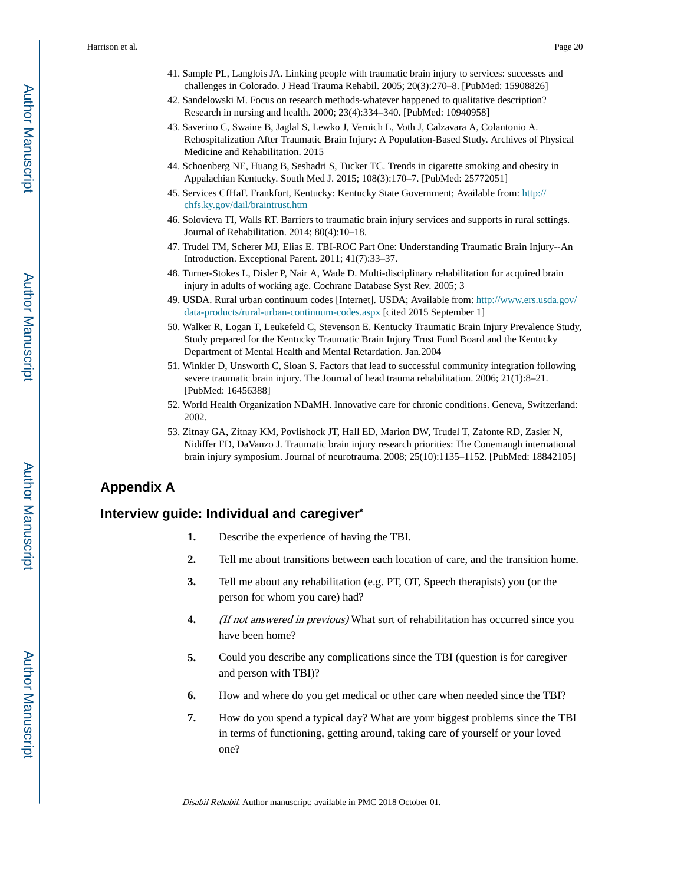- 41. Sample PL, Langlois JA. Linking people with traumatic brain injury to services: successes and challenges in Colorado. J Head Trauma Rehabil. 2005; 20(3):270–8. [PubMed: 15908826]
- 42. Sandelowski M. Focus on research methods-whatever happened to qualitative description? Research in nursing and health. 2000; 23(4):334–340. [PubMed: 10940958]
- 43. Saverino C, Swaine B, Jaglal S, Lewko J, Vernich L, Voth J, Calzavara A, Colantonio A. Rehospitalization After Traumatic Brain Injury: A Population-Based Study. Archives of Physical Medicine and Rehabilitation. 2015
- 44. Schoenberg NE, Huang B, Seshadri S, Tucker TC. Trends in cigarette smoking and obesity in Appalachian Kentucky. South Med J. 2015; 108(3):170–7. [PubMed: 25772051]
- 45. Services CfHaF. Frankfort, Kentucky: Kentucky State Government; Available from: [http://](http://chfs.ky.gov/dail/braintrust.htm) [chfs.ky.gov/dail/braintrust.htm](http://chfs.ky.gov/dail/braintrust.htm)
- 46. Solovieva TI, Walls RT. Barriers to traumatic brain injury services and supports in rural settings. Journal of Rehabilitation. 2014; 80(4):10–18.
- 47. Trudel TM, Scherer MJ, Elias E. TBI-ROC Part One: Understanding Traumatic Brain Injury--An Introduction. Exceptional Parent. 2011; 41(7):33–37.
- 48. Turner-Stokes L, Disler P, Nair A, Wade D. Multi-disciplinary rehabilitation for acquired brain injury in adults of working age. Cochrane Database Syst Rev. 2005; 3
- 49. USDA. Rural urban continuum codes [Internet]. USDA; Available from: [http://www.ers.usda.gov/](http://www.ers.usda.gov/data-products/rural-urban-continuum-codes.aspx) [data-products/rural-urban-continuum-codes.aspx](http://www.ers.usda.gov/data-products/rural-urban-continuum-codes.aspx) [cited 2015 September 1]
- 50. Walker R, Logan T, Leukefeld C, Stevenson E. Kentucky Traumatic Brain Injury Prevalence Study, Study prepared for the Kentucky Traumatic Brain Injury Trust Fund Board and the Kentucky Department of Mental Health and Mental Retardation. Jan.2004
- 51. Winkler D, Unsworth C, Sloan S. Factors that lead to successful community integration following severe traumatic brain injury. The Journal of head trauma rehabilitation. 2006; 21(1):8–21. [PubMed: 16456388]
- 52. World Health Organization NDaMH. Innovative care for chronic conditions. Geneva, Switzerland: 2002.
- 53. Zitnay GA, Zitnay KM, Povlishock JT, Hall ED, Marion DW, Trudel T, Zafonte RD, Zasler N, Nidiffer FD, DaVanzo J. Traumatic brain injury research priorities: The Conemaugh international brain injury symposium. Journal of neurotrauma. 2008; 25(10):1135–1152. [PubMed: 18842105]

## **Appendix A**

## **Interview guide: Individual and caregiver\***

- **1.** Describe the experience of having the TBI.
- **2.** Tell me about transitions between each location of care, and the transition home.
- **3.** Tell me about any rehabilitation (e.g. PT, OT, Speech therapists) you (or the person for whom you care) had?
- **4.** (If not answered in previous) What sort of rehabilitation has occurred since you have been home?
- **5.** Could you describe any complications since the TBI (question is for caregiver and person with TBI)?
- **6.** How and where do you get medical or other care when needed since the TBI?
- **7.** How do you spend a typical day? What are your biggest problems since the TBI in terms of functioning, getting around, taking care of yourself or your loved one?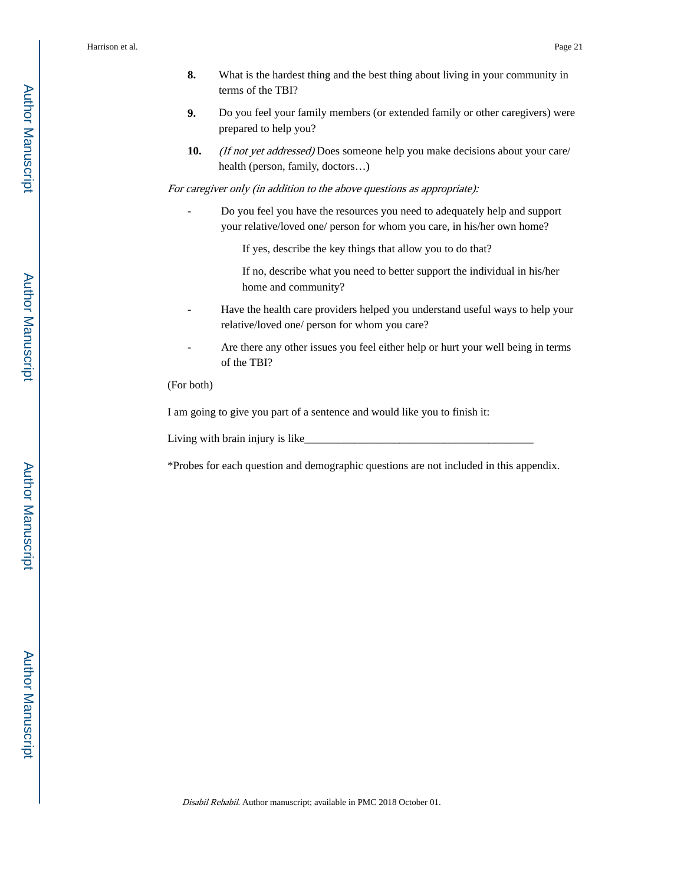- **8.** What is the hardest thing and the best thing about living in your community in terms of the TBI?
- **9.** Do you feel your family members (or extended family or other caregivers) were prepared to help you?
- **10.** (If not yet addressed) Does someone help you make decisions about your care/ health (person, family, doctors…)

For caregiver only (in addition to the above questions as appropriate):

**-** Do you feel you have the resources you need to adequately help and support your relative/loved one/ person for whom you care, in his/her own home?

If yes, describe the key things that allow you to do that?

If no, describe what you need to better support the individual in his/her home and community?

- **-** Have the health care providers helped you understand useful ways to help your relative/loved one/ person for whom you care?
- **-** Are there any other issues you feel either help or hurt your well being in terms of the TBI?

(For both)

I am going to give you part of a sentence and would like you to finish it:

Living with brain injury is like\_

\*Probes for each question and demographic questions are not included in this appendix.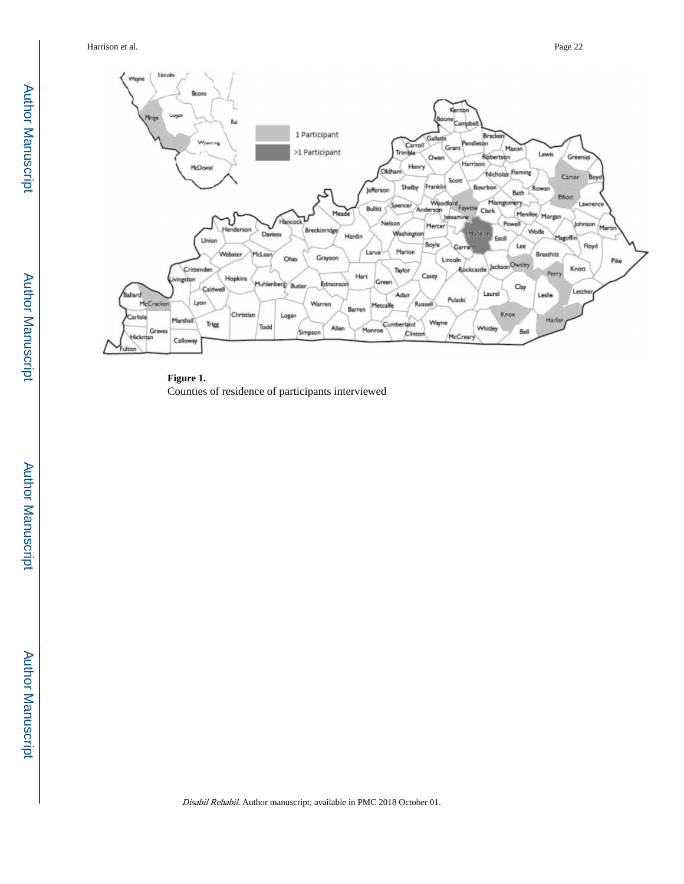Harrison et al. Page 22





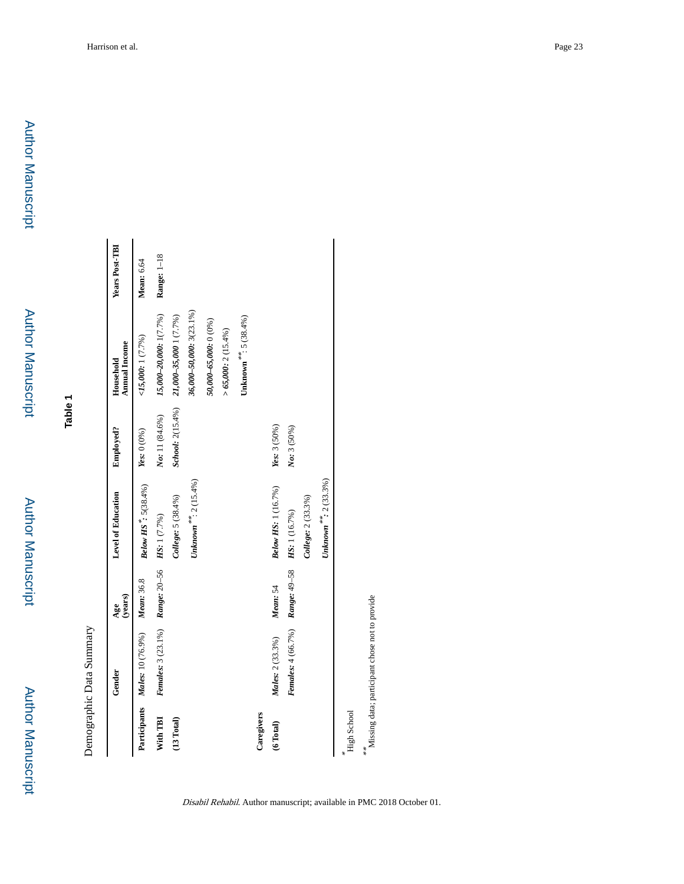**Table 1**

Demographic Data Summary Demographic Data Summary

|                | Gender                                         | Age<br>(years) | Level of Education              | Employed?      | <b>Annual Income</b><br>Household       | Years Post-TBI |
|----------------|------------------------------------------------|----------------|---------------------------------|----------------|-----------------------------------------|----------------|
|                | Participants Males: 10 (76.9%)                 | Mean: 36.8     | Below $HS$ $\degree$ : 5(38.4%) | Yes: 0 (0%)    | $<$ 15,000: 1 (7.7%)                    | Mean: 6.64     |
| With TBI       | Females: 3 (23.1%) Range: 20-56 HS: 1 (7.7%)   |                |                                 | No: 11 (84.6%) | $15,000 - 20,000$ : $1(7.7\%)$          | Range: 1-18    |
| $(13$ Total)   |                                                |                | College: 5 (38.4%)              |                | School: 2(15.4%) 21,000-35,000 1 (7.7%) |                |
|                |                                                |                | Unknown $3.2(15.4\%)$           |                | 36,000-50,000: 3(23.1%)                 |                |
|                |                                                |                |                                 |                | $50,000 - 65,000$ : $0(0\%)$            |                |
|                |                                                |                |                                 |                | $> 65,000:2(15.4\%)$                    |                |
|                |                                                |                |                                 |                | Unknown $**$ 5 (38.4%)                  |                |
| Caregivers     |                                                |                |                                 |                |                                         |                |
| $(6$ Total $)$ | Males: 2 (33.3%)                               | Mean: 54       | Below HS: 1 (16.7%)             | Yes: 3 (50%)   |                                         |                |
|                | <b>Females:</b> 4 (66.7%)                      | Range: 49-58   | HS: 1 (16.7%)                   | No: 3(50%)     |                                         |                |
|                |                                                |                | College: 2 (33.3%)              |                |                                         |                |
|                |                                                |                | Unknown $*$ : 2 (33.3%)         |                |                                         |                |
| High School    |                                                |                |                                 |                |                                         |                |
| $**$           | Missing data; participant chose not to provide |                |                                 |                |                                         |                |